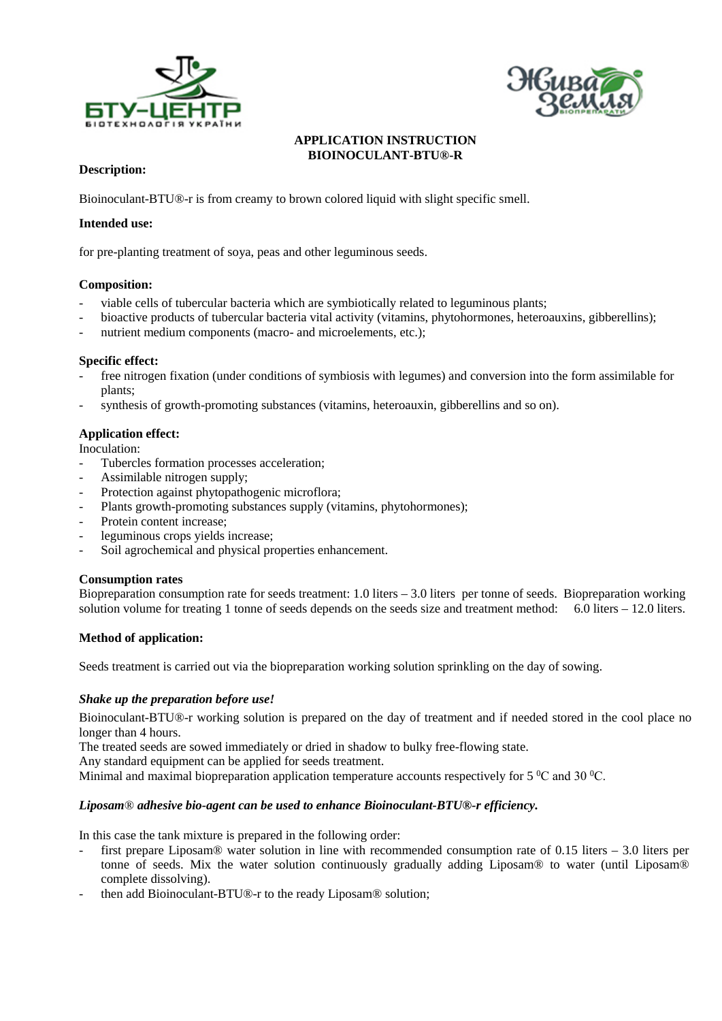



### **APPLICATION INSTRUCTION BIOINOCULANT-BTU®-R**

## **Description:**

Bioinoculant-BTU®-r is from creamy to brown colored liquid with slight specific smell.

### **Intended use:**

for pre-planting treatment of soya, peas and other leguminous seeds.

### **Composition:**

- viable cells of tubercular bacteria which are symbiotically related to leguminous plants;
- bioactive products of tubercular bacteria vital activity (vitamins, phytohormones, heteroauxins, gibberellins);
- nutrient medium components (macro- and microelements, etc.);

#### **Specific effect:**

- free nitrogen fixation (under conditions of symbiosis with legumes) and conversion into the form assimilable for plants;
- synthesis of growth-promoting substances (vitamins, heteroauxin, gibberellins and so on).

### **Application effect:**

Inoculation:

- Tubercles formation processes acceleration;
- Assimilable nitrogen supply;
- Protection against phytopathogenic microflora;
- Plants growth-promoting substances supply (vitamins, phytohormones);
- Protein content increase;
- leguminous crops yields increase;
- Soil agrochemical and physical properties enhancement.

#### **Consumption rates**

Biopreparation consumption rate for seeds treatment: 1.0 liters – 3.0 liters per tonne of seeds. Biopreparation working solution volume for treating 1 tonne of seeds depends on the seeds size and treatment method:  $6.0$  liters – 12.0 liters.

#### **Method of application:**

Seeds treatment is carried out via the biopreparation working solution sprinkling on the day of sowing.

#### *Shake up the preparation before use!*

Bioinoculant-BTU®-r working solution is prepared on the day of treatment and if needed stored in the cool place no longer than 4 hours.

The treated seeds are sowed immediately or dried in shadow to bulky free-flowing state.

Any standard equipment can be applied for seeds treatment.

Minimal and maximal biopreparation application temperature accounts respectively for 5  $\degree$ C and 30  $\degree$ C.

#### *Liposam® adhesive bio-agent can be used to enhance Bioinoculant-BTU®-r efficiency.*

In this case the tank mixture is prepared in the following order:

- first prepare Liposam® water solution in line with recommended consumption rate of 0.15 liters 3.0 liters per tonne of seeds. Mix the water solution continuously gradually adding Liposam® to water (until Liposam® complete dissolving).
- then add Bioinoculant-BTU®-r to the ready Liposam® solution;